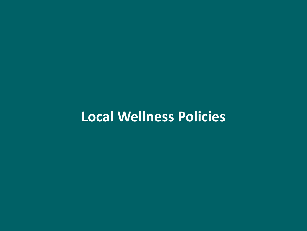# **Local Wellness Policies**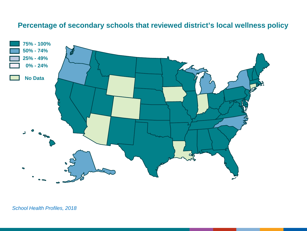## **Percentage of secondary schools that reviewed district's local wellness policy**

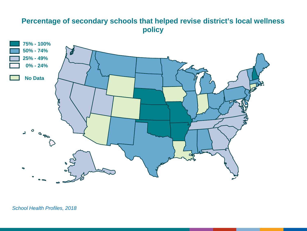## **Percentage of secondary schools that helped revise district's local wellness policy**

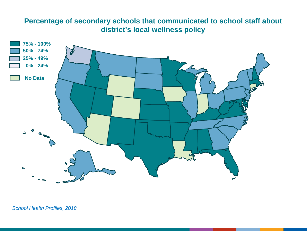## **Percentage of secondary schools that communicated to school staff about district's local wellness policy**

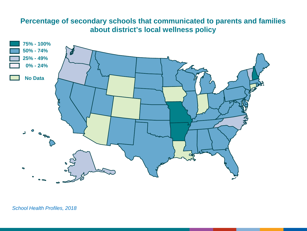## **Percentage of secondary schools that communicated to parents and families about district's local wellness policy**

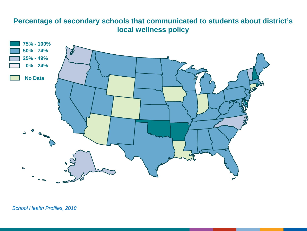## **Percentage of secondary schools that communicated to students about district's local wellness policy**

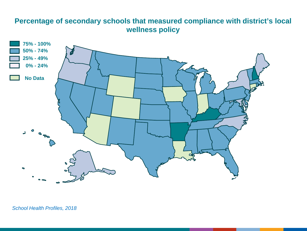#### **Percentage of secondary schools that measured compliance with district's local wellness policy**